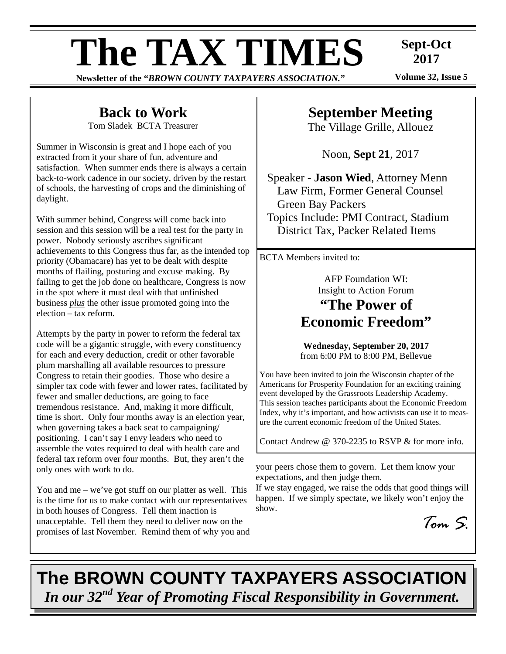# **The TAX TIMES** Sept-Oct <sup>2017</sup>

**Newsletter of the "***BROWN COUNTY TAXPAYERS ASSOCIATION.***"** 

**2017** 

# **Back to Work**

Tom Sladek BCTA Treasurer

Summer in Wisconsin is great and I hope each of you extracted from it your share of fun, adventure and satisfaction. When summer ends there is always a certain back-to-work cadence in our society, driven by the restart of schools, the harvesting of crops and the diminishing of daylight.

With summer behind, Congress will come back into session and this session will be a real test for the party in power. Nobody seriously ascribes significant achievements to this Congress thus far, as the intended top priority (Obamacare) has yet to be dealt with despite months of flailing, posturing and excuse making. By failing to get the job done on healthcare, Congress is now in the spot where it must deal with that unfinished business *plus* the other issue promoted going into the election – tax reform.

Attempts by the party in power to reform the federal tax code will be a gigantic struggle, with every constituency for each and every deduction, credit or other favorable plum marshalling all available resources to pressure Congress to retain their goodies. Those who desire a simpler tax code with fewer and lower rates, facilitated by fewer and smaller deductions, are going to face tremendous resistance. And, making it more difficult, time is short. Only four months away is an election year, when governing takes a back seat to campaigning/ positioning. I can't say I envy leaders who need to assemble the votes required to deal with health care and federal tax reform over four months. But, they aren't the only ones with work to do.

You and me – we've got stuff on our platter as well. This is the time for us to make contact with our representatives in both houses of Congress. Tell them inaction is unacceptable. Tell them they need to deliver now on the promises of last November. Remind them of why you and

# **September Meeting**

The Village Grille, Allouez

Noon, **Sept 21**, 2017

Speaker - **Jason Wied**, Attorney Menn Law Firm, Former General Counsel Green Bay Packers Topics Include: PMI Contract, Stadium District Tax, Packer Related Items

BCTA Members invited to:

AFP Foundation WI: Insight to Action Forum **"The Power of Economic Freedom"** 

**Wednesday, September 20, 2017** from 6:00 PM to 8:00 PM, Bellevue

You have been invited to join the Wisconsin chapter of the Americans for Prosperity Foundation for an exciting training event developed by the Grassroots Leadership Academy. This session teaches participants about the Economic Freedom Index, why it's important, and how activists can use it to measure the current economic freedom of the United States.

Contact Andrew @ 370-2235 to RSVP & for more info.

your peers chose them to govern. Let them know your expectations, and then judge them.

If we stay engaged, we raise the odds that good things will happen. If we simply spectate, we likely won't enjoy the show.

*Tom S.* 

# **The BROWN COUNTY TAXPAYERS ASSOCIATION**  *In our 32nd Year of Promoting Fiscal Responsibility in Government.*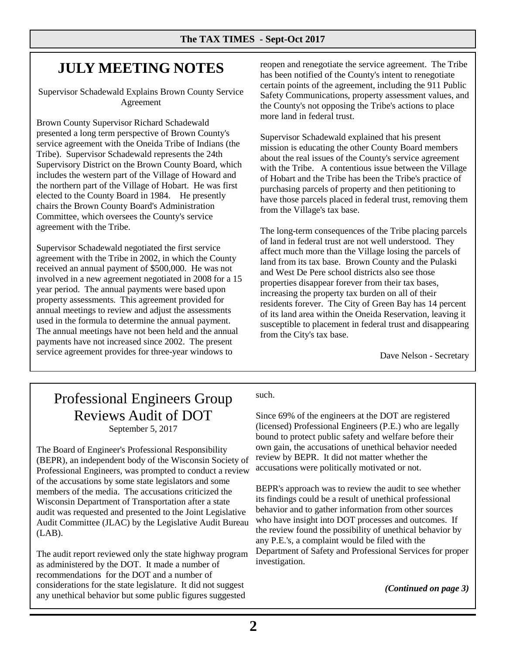# **JULY MEETING NOTES**

Supervisor Schadewald Explains Brown County Service Agreement

Brown County Supervisor Richard Schadewald presented a long term perspective of Brown County's service agreement with the Oneida Tribe of Indians (the Tribe). Supervisor Schadewald represents the 24th Supervisory District on the Brown County Board, which includes the western part of the Village of Howard and the northern part of the Village of Hobart. He was first elected to the County Board in 1984. He presently chairs the Brown County Board's Administration Committee, which oversees the County's service agreement with the Tribe.

Supervisor Schadewald negotiated the first service agreement with the Tribe in 2002, in which the County received an annual payment of \$500,000. He was not involved in a new agreement negotiated in 2008 for a 15 year period. The annual payments were based upon property assessments. This agreement provided for annual meetings to review and adjust the assessments used in the formula to determine the annual payment. The annual meetings have not been held and the annual payments have not increased since 2002. The present service agreement provides for three-year windows to

reopen and renegotiate the service agreement. The Tribe has been notified of the County's intent to renegotiate certain points of the agreement, including the 911 Public Safety Communications, property assessment values, and the County's not opposing the Tribe's actions to place more land in federal trust.

Supervisor Schadewald explained that his present mission is educating the other County Board members about the real issues of the County's service agreement with the Tribe. A contentious issue between the Village of Hobart and the Tribe has been the Tribe's practice of purchasing parcels of property and then petitioning to have those parcels placed in federal trust, removing them from the Village's tax base.

The long-term consequences of the Tribe placing parcels of land in federal trust are not well understood. They affect much more than the Village losing the parcels of land from its tax base. Brown County and the Pulaski and West De Pere school districts also see those properties disappear forever from their tax bases, increasing the property tax burden on all of their residents forever. The City of Green Bay has 14 percent of its land area within the Oneida Reservation, leaving it susceptible to placement in federal trust and disappearing from the City's tax base.

Dave Nelson - Secretary

## Professional Engineers Group Reviews Audit of DOT September 5, 2017

The Board of Engineer's Professional Responsibility (BEPR), an independent body of the Wisconsin Society of Professional Engineers, was prompted to conduct a review of the accusations by some state legislators and some members of the media. The accusations criticized the Wisconsin Department of Transportation after a state audit was requested and presented to the Joint Legislative Audit Committee (JLAC) by the Legislative Audit Bureau (LAB).

The audit report reviewed only the state highway program as administered by the DOT. It made a number of recommendations for the DOT and a number of considerations for the state legislature. It did not suggest any unethical behavior but some public figures suggested

such.

Since 69% of the engineers at the DOT are registered (licensed) Professional Engineers (P.E.) who are legally bound to protect public safety and welfare before their own gain, the accusations of unethical behavior needed review by BEPR. It did not matter whether the accusations were politically motivated or not.

BEPR's approach was to review the audit to see whether its findings could be a result of unethical professional behavior and to gather information from other sources who have insight into DOT processes and outcomes. If the review found the possibility of unethical behavior by any P.E.'s, a complaint would be filed with the Department of Safety and Professional Services for proper investigation.

*(Continued on page 3)*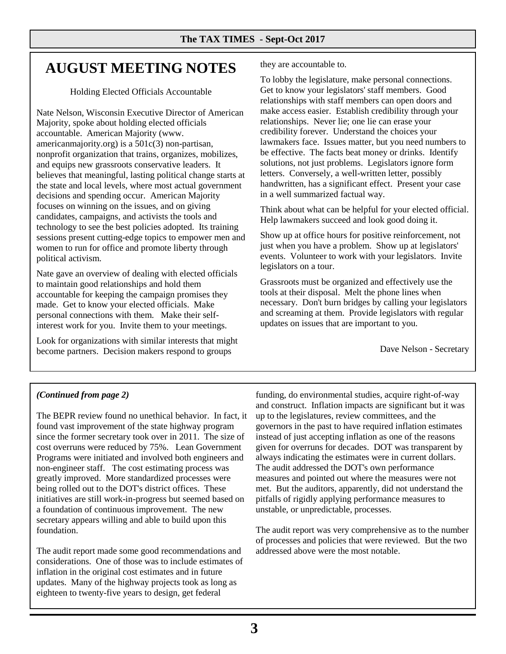# **AUGUST MEETING NOTES**

Holding Elected Officials Accountable

Nate Nelson, Wisconsin Executive Director of American Majority, spoke about holding elected officials accountable. American Majority (www. americanmajority.org) is a 501c(3) non-partisan, nonprofit organization that trains, organizes, mobilizes, and equips new grassroots conservative leaders. It believes that meaningful, lasting political change starts at the state and local levels, where most actual government decisions and spending occur. American Majority focuses on winning on the issues, and on giving candidates, campaigns, and activists the tools and technology to see the best policies adopted. Its training sessions present cutting-edge topics to empower men and women to run for office and promote liberty through political activism.

Nate gave an overview of dealing with elected officials to maintain good relationships and hold them accountable for keeping the campaign promises they made. Get to know your elected officials. Make personal connections with them. Make their selfinterest work for you. Invite them to your meetings.

Look for organizations with similar interests that might become partners. Decision makers respond to groups

they are accountable to.

To lobby the legislature, make personal connections. Get to know your legislators' staff members. Good relationships with staff members can open doors and make access easier. Establish credibility through your relationships. Never lie; one lie can erase your credibility forever. Understand the choices your lawmakers face. Issues matter, but you need numbers to be effective. The facts beat money or drinks. Identify solutions, not just problems. Legislators ignore form letters. Conversely, a well-written letter, possibly handwritten, has a significant effect. Present your case in a well summarized factual way.

Think about what can be helpful for your elected official. Help lawmakers succeed and look good doing it.

Show up at office hours for positive reinforcement, not just when you have a problem. Show up at legislators' events. Volunteer to work with your legislators. Invite legislators on a tour.

Grassroots must be organized and effectively use the tools at their disposal. Melt the phone lines when necessary. Don't burn bridges by calling your legislators and screaming at them. Provide legislators with regular updates on issues that are important to you.

Dave Nelson - Secretary

### *(Continued from page 2)*

The BEPR review found no unethical behavior. In fact, it found vast improvement of the state highway program since the former secretary took over in 2011. The size of cost overruns were reduced by 75%. Lean Government Programs were initiated and involved both engineers and non-engineer staff. The cost estimating process was greatly improved. More standardized processes were being rolled out to the DOT's district offices. These initiatives are still work-in-progress but seemed based on a foundation of continuous improvement. The new secretary appears willing and able to build upon this foundation.

The audit report made some good recommendations and considerations. One of those was to include estimates of inflation in the original cost estimates and in future updates. Many of the highway projects took as long as eighteen to twenty-five years to design, get federal

funding, do environmental studies, acquire right-of-way and construct. Inflation impacts are significant but it was up to the legislatures, review committees, and the governors in the past to have required inflation estimates instead of just accepting inflation as one of the reasons given for overruns for decades. DOT was transparent by always indicating the estimates were in current dollars. The audit addressed the DOT's own performance measures and pointed out where the measures were not met. But the auditors, apparently, did not understand the pitfalls of rigidly applying performance measures to unstable, or unpredictable, processes.

The audit report was very comprehensive as to the number of processes and policies that were reviewed. But the two addressed above were the most notable.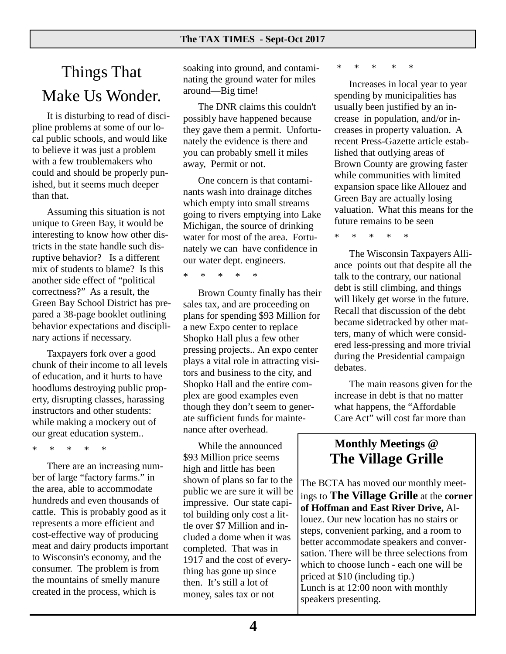# Things That Make Us Wonder.

 It is disturbing to read of discipline problems at some of our local public schools, and would like to believe it was just a problem with a few troublemakers who could and should be properly punished, but it seems much deeper than that.

 Assuming this situation is not unique to Green Bay, it would be interesting to know how other districts in the state handle such disruptive behavior? Is a different mix of students to blame? Is this another side effect of "political correctness?" As a result, the Green Bay School District has prepared a 38-page booklet outlining behavior expectations and disciplinary actions if necessary.

 Taxpayers fork over a good chunk of their income to all levels of education, and it hurts to have hoodlums destroying public property, disrupting classes, harassing instructors and other students: while making a mockery out of our great education system..

\* \* \* \* \*

 There are an increasing number of large "factory farms." in the area, able to accommodate hundreds and even thousands of cattle. This is probably good as it represents a more efficient and cost-effective way of producing meat and dairy products important to Wisconsin's economy, and the consumer. The problem is from the mountains of smelly manure created in the process, which is

soaking into ground, and contaminating the ground water for miles around—Big time!

 The DNR claims this couldn't possibly have happened because they gave them a permit. Unfortunately the evidence is there and you can probably smell it miles away, Permit or not.

 One concern is that contaminants wash into drainage ditches which empty into small streams going to rivers emptying into Lake Michigan, the source of drinking water for most of the area. Fortunately we can have confidence in our water dept. engineers.

\* \* \* \* \*

 Brown County finally has their sales tax, and are proceeding on plans for spending \$93 Million for a new Expo center to replace Shopko Hall plus a few other pressing projects.. An expo center plays a vital role in attracting visitors and business to the city, and Shopko Hall and the entire complex are good examples even though they don't seem to generate sufficient funds for maintenance after overhead.

 While the announced \$93 Million price seems high and little has been shown of plans so far to the public we are sure it will be impressive. Our state capitol building only cost a little over \$7 Million and included a dome when it was completed. That was in 1917 and the cost of everything has gone up since then. It's still a lot of money, sales tax or not

\* \* \* \* \*

 Increases in local year to year spending by municipalities has usually been justified by an increase in population, and/or increases in property valuation. A recent Press-Gazette article established that outlying areas of Brown County are growing faster while communities with limited expansion space like Allouez and Green Bay are actually losing valuation. What this means for the future remains to be seen

\* \* \* \* \*

 The Wisconsin Taxpayers Alliance points out that despite all the talk to the contrary, our national debt is still climbing, and things will likely get worse in the future. Recall that discussion of the debt became sidetracked by other matters, many of which were considered less-pressing and more trivial during the Presidential campaign debates.

 The main reasons given for the increase in debt is that no matter what happens, the "Affordable Care Act" will cost far more than

## **Monthly Meetings @ The Village Grille**

Lunch is at 12:00 noon with monthly The BCTA has moved our monthly meetings to **The Village Grille** at the **corner of Hoffman and East River Drive,** Allouez. Our new location has no stairs or steps, convenient parking, and a room to better accommodate speakers and conversation. There will be three selections from which to choose lunch - each one will be priced at \$10 (including tip.) speakers presenting.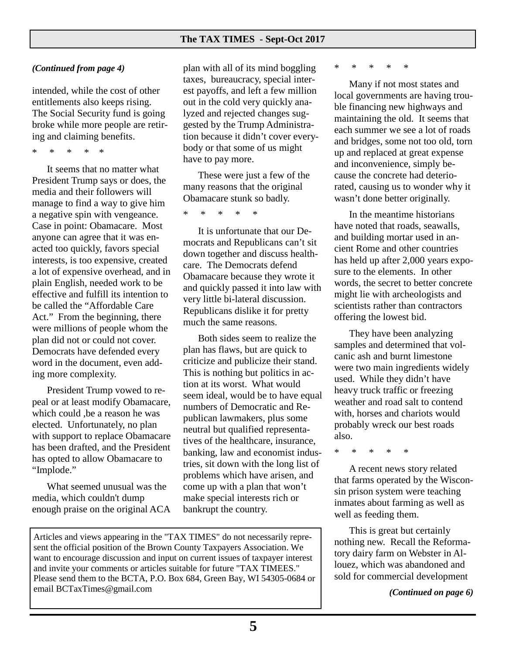#### *(Continued from page 4)*

intended, while the cost of other entitlements also keeps rising. The Social Security fund is going broke while more people are retiring and claiming benefits.

\* \* \* \* \*

 It seems that no matter what President Trump says or does, the media and their followers will manage to find a way to give him a negative spin with vengeance. Case in point: Obamacare. Most anyone can agree that it was enacted too quickly, favors special interests, is too expensive, created a lot of expensive overhead, and in plain English, needed work to be effective and fulfill its intention to be called the "Affordable Care Act." From the beginning, there were millions of people whom the plan did not or could not cover. Democrats have defended every word in the document, even adding more complexity.

 President Trump vowed to repeal or at least modify Obamacare, which could ,be a reason he was elected. Unfortunately, no plan with support to replace Obamacare has been drafted, and the President has opted to allow Obamacare to "Implode."

 What seemed unusual was the media, which couldn't dump enough praise on the original ACA plan with all of its mind boggling taxes, bureaucracy, special interest payoffs, and left a few million out in the cold very quickly analyzed and rejected changes suggested by the Trump Administration because it didn't cover everybody or that some of us might have to pay more.

 These were just a few of the many reasons that the original Obamacare stunk so badly.

\* \* \* \* \*

 It is unfortunate that our Democrats and Republicans can't sit down together and discuss healthcare. The Democrats defend Obamacare because they wrote it and quickly passed it into law with very little bi-lateral discussion. Republicans dislike it for pretty much the same reasons.

 Both sides seem to realize the plan has flaws, but are quick to criticize and publicize their stand. This is nothing but politics in action at its worst. What would seem ideal, would be to have equal numbers of Democratic and Republican lawmakers, plus some neutral but qualified representatives of the healthcare, insurance, banking, law and economist industries, sit down with the long list of problems which have arisen, and come up with a plan that won't make special interests rich or bankrupt the country.

Articles and views appearing in the "TAX TIMES" do not necessarily represent the official position of the Brown County Taxpayers Association. We want to encourage discussion and input on current issues of taxpayer interest and invite your comments or articles suitable for future "TAX TIMEES." Please send them to the BCTA, P.O. Box 684, Green Bay, WI 54305-0684 or email BCTaxTimes@gmail.com

\* \* \* \* \*

 Many if not most states and local governments are having trouble financing new highways and maintaining the old. It seems that each summer we see a lot of roads and bridges, some not too old, torn up and replaced at great expense and inconvenience, simply because the concrete had deteriorated, causing us to wonder why it wasn't done better originally.

 In the meantime historians have noted that roads, seawalls, and building mortar used in ancient Rome and other countries has held up after 2,000 years exposure to the elements. In other words, the secret to better concrete might lie with archeologists and scientists rather than contractors offering the lowest bid.

 They have been analyzing samples and determined that volcanic ash and burnt limestone were two main ingredients widely used. While they didn't have heavy truck traffic or freezing weather and road salt to contend with, horses and chariots would probably wreck our best roads also.

\* \* \* \* \*

 A recent news story related that farms operated by the Wisconsin prison system were teaching inmates about farming as well as well as feeding them.

 This is great but certainly nothing new. Recall the Reformatory dairy farm on Webster in Allouez, which was abandoned and sold for commercial development

*(Continued on page 6)*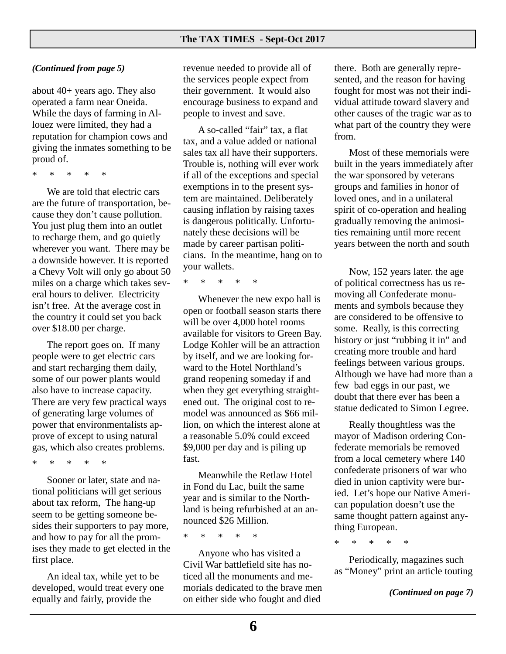#### *(Continued from page 5)*

about 40+ years ago. They also operated a farm near Oneida. While the days of farming in Allouez were limited, they had a reputation for champion cows and giving the inmates something to be proud of.

\* \* \* \* \*

 We are told that electric cars are the future of transportation, because they don't cause pollution. You just plug them into an outlet to recharge them, and go quietly wherever you want. There may be a downside however. It is reported a Chevy Volt will only go about 50 miles on a charge which takes several hours to deliver. Electricity isn't free. At the average cost in the country it could set you back over \$18.00 per charge.

 The report goes on. If many people were to get electric cars and start recharging them daily, some of our power plants would also have to increase capacity. There are very few practical ways of generating large volumes of power that environmentalists approve of except to using natural gas, which also creates problems.

\* \* \* \* \*

 Sooner or later, state and national politicians will get serious about tax reform, The hang-up seem to be getting someone besides their supporters to pay more, and how to pay for all the promises they made to get elected in the first place.

 An ideal tax, while yet to be developed, would treat every one equally and fairly, provide the

revenue needed to provide all of the services people expect from their government. It would also encourage business to expand and people to invest and save.

 A so-called "fair" tax, a flat tax, and a value added or national sales tax all have their supporters. Trouble is, nothing will ever work if all of the exceptions and special exemptions in to the present system are maintained. Deliberately causing inflation by raising taxes is dangerous politically. Unfortunately these decisions will be made by career partisan politicians. In the meantime, hang on to your wallets.

\* \* \* \* \*

 Whenever the new expo hall is open or football season starts there will be over 4,000 hotel rooms available for visitors to Green Bay. Lodge Kohler will be an attraction by itself, and we are looking forward to the Hotel Northland's grand reopening someday if and when they get everything straightened out. The original cost to remodel was announced as \$66 million, on which the interest alone at a reasonable 5.0% could exceed \$9,000 per day and is piling up fast.

 Meanwhile the Retlaw Hotel in Fond du Lac, built the same year and is similar to the Northland is being refurbished at an announced \$26 Million.

\* \* \* \* \*

 Anyone who has visited a Civil War battlefield site has noticed all the monuments and memorials dedicated to the brave men on either side who fought and died

there. Both are generally represented, and the reason for having fought for most was not their individual attitude toward slavery and other causes of the tragic war as to what part of the country they were from.

 Most of these memorials were built in the years immediately after the war sponsored by veterans groups and families in honor of loved ones, and in a unilateral spirit of co-operation and healing gradually removing the animosities remaining until more recent years between the north and south

 Now, 152 years later. the age of political correctness has us removing all Confederate monuments and symbols because they are considered to be offensive to some. Really, is this correcting history or just "rubbing it in" and creating more trouble and hard feelings between various groups. Although we have had more than a few bad eggs in our past, we doubt that there ever has been a statue dedicated to Simon Legree.

 Really thoughtless was the mayor of Madison ordering Confederate memorials be removed from a local cemetery where 140 confederate prisoners of war who died in union captivity were buried. Let's hope our Native American population doesn't use the same thought pattern against anything European.

\* \* \* \* \*

 Periodically, magazines such as "Money" print an article touting

*(Continued on page 7)*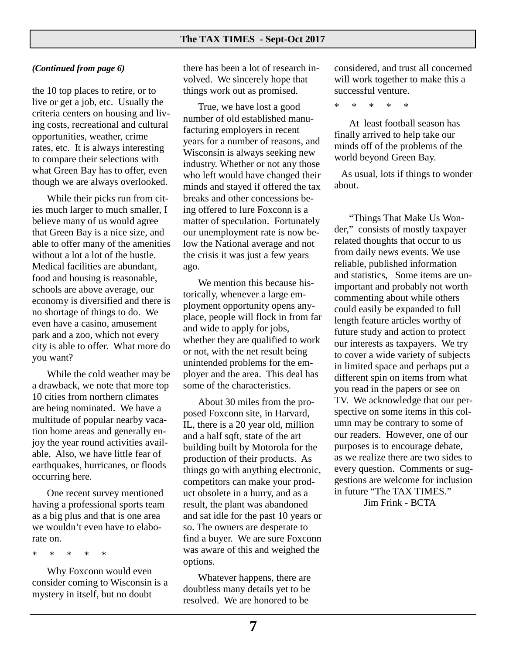#### *(Continued from page 6)*

the 10 top places to retire, or to live or get a job, etc. Usually the criteria centers on housing and living costs, recreational and cultural opportunities, weather, crime rates, etc. It is always interesting to compare their selections with what Green Bay has to offer, even though we are always overlooked.

 While their picks run from cities much larger to much smaller, I believe many of us would agree that Green Bay is a nice size, and able to offer many of the amenities without a lot a lot of the hustle. Medical facilities are abundant, food and housing is reasonable, schools are above average, our economy is diversified and there is no shortage of things to do. We even have a casino, amusement park and a zoo, which not every city is able to offer. What more do you want?

 While the cold weather may be a drawback, we note that more top 10 cities from northern climates are being nominated. We have a multitude of popular nearby vacation home areas and generally enjoy the year round activities available, Also, we have little fear of earthquakes, hurricanes, or floods occurring here.

 One recent survey mentioned having a professional sports team as a big plus and that is one area we wouldn't even have to elaborate on.

\* \* \* \* \*

 Why Foxconn would even consider coming to Wisconsin is a mystery in itself, but no doubt

there has been a lot of research involved. We sincerely hope that things work out as promised.

 True, we have lost a good number of old established manufacturing employers in recent years for a number of reasons, and Wisconsin is always seeking new industry. Whether or not any those who left would have changed their minds and stayed if offered the tax breaks and other concessions being offered to lure Foxconn is a matter of speculation. Fortunately our unemployment rate is now below the National average and not the crisis it was just a few years ago.

 We mention this because historically, whenever a large employment opportunity opens anyplace, people will flock in from far and wide to apply for jobs, whether they are qualified to work or not, with the net result being unintended problems for the employer and the area. This deal has some of the characteristics.

 About 30 miles from the proposed Foxconn site, in Harvard, IL, there is a 20 year old, million and a half sqft, state of the art building built by Motorola for the production of their products. As things go with anything electronic, competitors can make your product obsolete in a hurry, and as a result, the plant was abandoned and sat idle for the past 10 years or so. The owners are desperate to find a buyer. We are sure Foxconn was aware of this and weighed the options.

 Whatever happens, there are doubtless many details yet to be resolved. We are honored to be

considered, and trust all concerned will work together to make this a successful venture.

\* \* \* \* \*

 At least football season has finally arrived to help take our minds off of the problems of the world beyond Green Bay.

 As usual, lots if things to wonder about.

 "Things That Make Us Wonder," consists of mostly taxpayer related thoughts that occur to us from daily news events. We use reliable, published information and statistics, Some items are unimportant and probably not worth commenting about while others could easily be expanded to full length feature articles worthy of future study and action to protect our interests as taxpayers. We try to cover a wide variety of subjects in limited space and perhaps put a different spin on items from what you read in the papers or see on TV. We acknowledge that our perspective on some items in this column may be contrary to some of our readers. However, one of our purposes is to encourage debate, as we realize there are two sides to every question. Comments or suggestions are welcome for inclusion in future "The TAX TIMES."

Jim Frink - BCTA